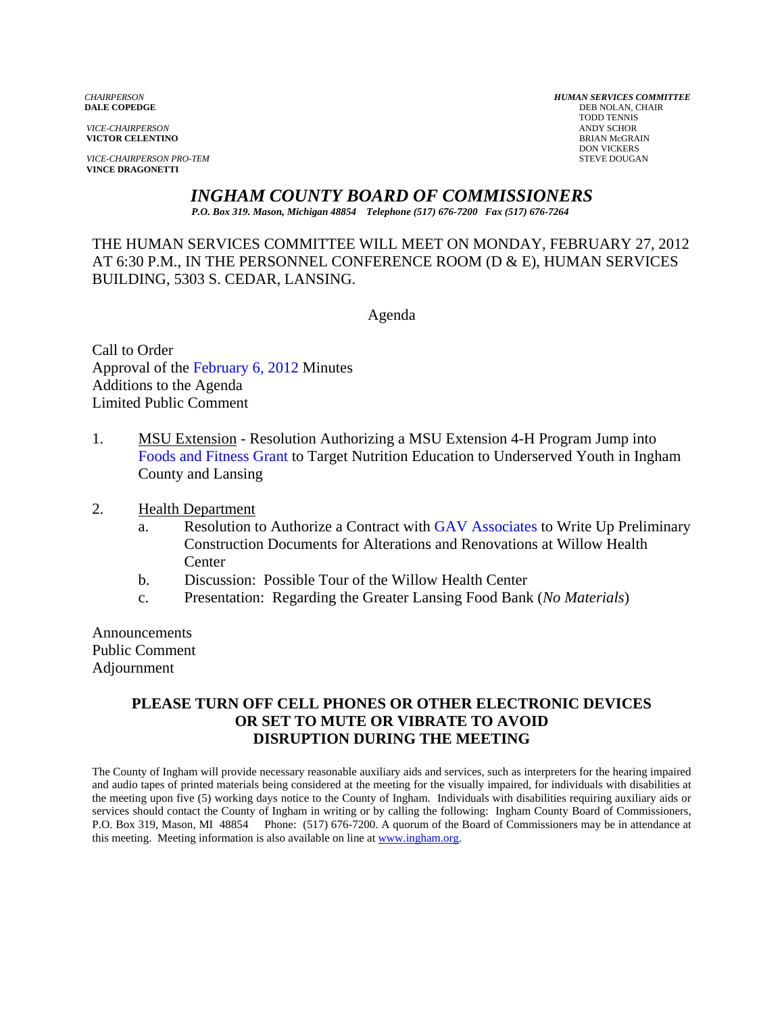**VICTOR CELENTINO** 

**VICE-CHAIRPERSON PRO-TEM** STEVE DOUGAN **VINCE DRAGONETTI** 

*CHAIRPERSON HUMAN SERVICES COMMITTEE* **DEB NOLAN, CHAIR**  TODD TENNIS *VICE-CHAIRPERSON* ANDY SCHOR DON VICKERS

*INGHAM COUNTY BOARD OF COMMISSIONERS* 

*P.O. Box 319. Mason, Michigan 48854 Telephone (517) 676-7200 Fax (517) 676-7264*

THE HUMAN SERVICES COMMITTEE WILL MEET ON MONDAY, FEBRUARY 27, 2012 AT 6:30 P.M., IN THE PERSONNEL CONFERENCE ROOM (D & E), HUMAN SERVICES BUILDING, 5303 S. CEDAR, LANSING.

Agenda

Call to Order Approval of t[he February 6, 2012 Minutes](#page-1-0)  Additions to the Agenda Limited Public Comment

- 1. MSU Extension Resolution Authorizing a MSU Extension 4-H Program Jump into [Foods and Fitness Grant to Targe](#page-7-0)t Nutrition Education to Underserved Youth in Ingham County and Lansing
- 2. Health Department
	- a. Resolution to Authorize a Contract [with GAV Associates to Write Up Preliminary](#page-13-0) Construction Documents for Alterations and Renovations at Willow Health **Center**
	- b. Discussion: Possible Tour of the Willow Health Center
	- c. Presentation: Regarding the Greater Lansing Food Bank (*No Materials*)

Announcements Public Comment Adjournment

# **PLEASE TURN OFF CELL PHONES OR OTHER ELECTRONIC DEVICES OR SET TO MUTE OR VIBRATE TO AVOID DISRUPTION DURING THE MEETING**

The County of Ingham will provide necessary reasonable auxiliary aids and services, such as interpreters for the hearing impaired and audio tapes of printed materials being considered at the meeting for the visually impaired, for individuals with disabilities at the meeting upon five (5) working days notice to the County of Ingham. Individuals with disabilities requiring auxiliary aids or services should contact the County of Ingham in writing or by calling the following: Ingham County Board of Commissioners, P.O. Box 319, Mason, MI 48854 Phone: (517) 676-7200. A quorum of the Board of Commissioners may be in attendance at this meeting. Meeting information is also available on line at www.ingham.org.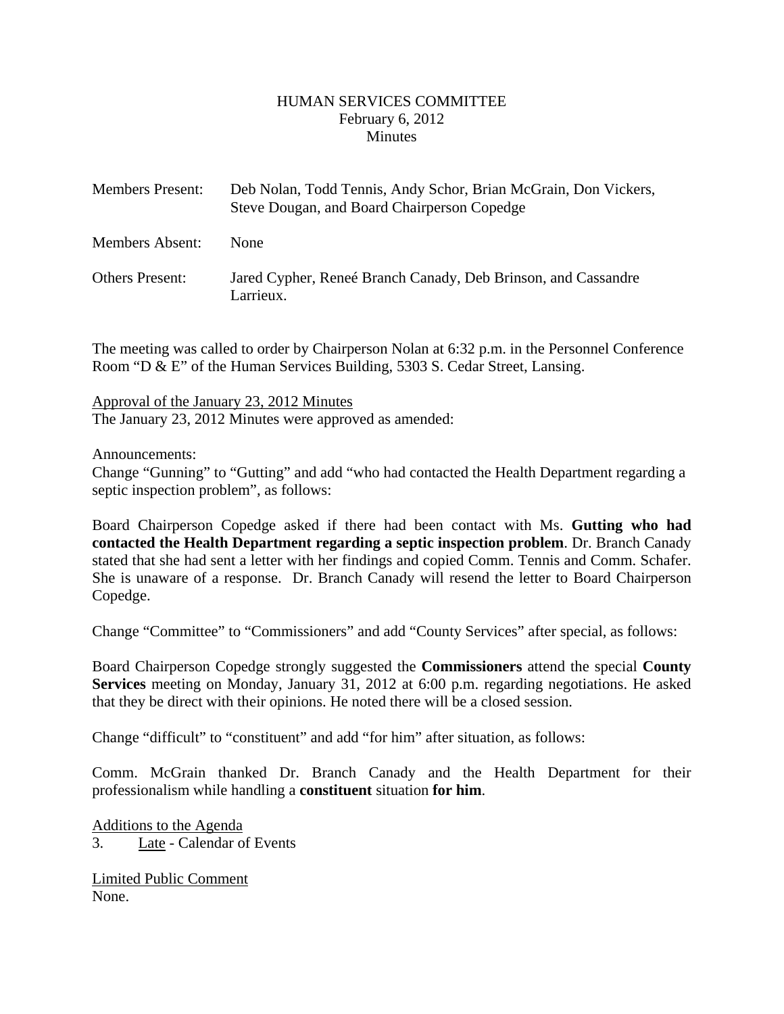#### HUMAN SERVICES COMMITTEE February 6, 2012 **Minutes**

<span id="page-1-0"></span>

| <b>Members Present:</b> | Deb Nolan, Todd Tennis, Andy Schor, Brian McGrain, Don Vickers,<br>Steve Dougan, and Board Chairperson Copedge |
|-------------------------|----------------------------------------------------------------------------------------------------------------|
| Members Absent:         | <b>None</b>                                                                                                    |
| <b>Others Present:</b>  | Jared Cypher, Reneé Branch Canady, Deb Brinson, and Cassandre<br>Larrieux.                                     |

The meeting was called to order by Chairperson Nolan at 6:32 p.m. in the Personnel Conference Room "D & E" of the Human Services Building, 5303 S. Cedar Street, Lansing.

Approval of the January 23, 2012 Minutes The January 23, 2012 Minutes were approved as amended:

Announcements:

Change "Gunning" to "Gutting" and add "who had contacted the Health Department regarding a septic inspection problem", as follows:

Board Chairperson Copedge asked if there had been contact with Ms. **Gutting who had contacted the Health Department regarding a septic inspection problem**. Dr. Branch Canady stated that she had sent a letter with her findings and copied Comm. Tennis and Comm. Schafer. She is unaware of a response. Dr. Branch Canady will resend the letter to Board Chairperson Copedge.

Change "Committee" to "Commissioners" and add "County Services" after special, as follows:

Board Chairperson Copedge strongly suggested the **Commissioners** attend the special **County Services** meeting on Monday, January 31, 2012 at 6:00 p.m. regarding negotiations. He asked that they be direct with their opinions. He noted there will be a closed session.

Change "difficult" to "constituent" and add "for him" after situation, as follows:

Comm. McGrain thanked Dr. Branch Canady and the Health Department for their professionalism while handling a **constituent** situation **for him**.

Additions to the Agenda 3. Late - Calendar of Events

Limited Public Comment None.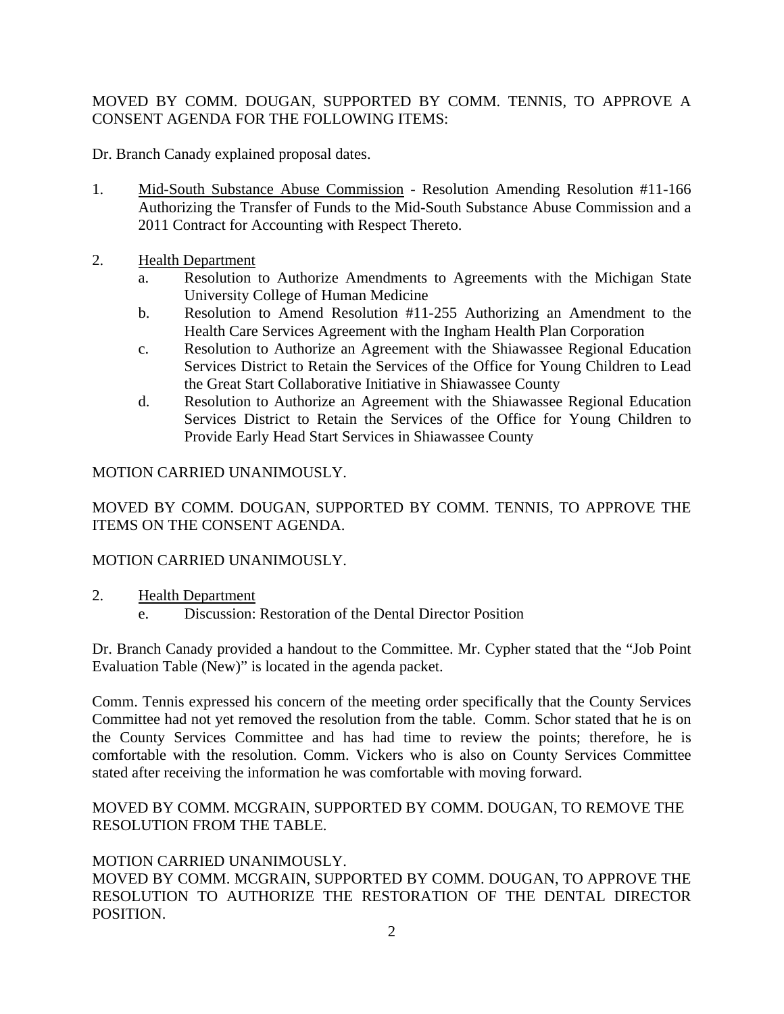# MOVED BY COMM. DOUGAN, SUPPORTED BY COMM. TENNIS, TO APPROVE A CONSENT AGENDA FOR THE FOLLOWING ITEMS:

Dr. Branch Canady explained proposal dates.

- 1. Mid-South Substance Abuse Commission Resolution Amending Resolution #11-166 Authorizing the Transfer of Funds to the Mid-South Substance Abuse Commission and a 2011 Contract for Accounting with Respect Thereto.
- 2. Health Department
	- a. Resolution to Authorize Amendments to Agreements with the Michigan State University College of Human Medicine
	- b. Resolution to Amend Resolution #11-255 Authorizing an Amendment to the Health Care Services Agreement with the Ingham Health Plan Corporation
	- c. Resolution to Authorize an Agreement with the Shiawassee Regional Education Services District to Retain the Services of the Office for Young Children to Lead the Great Start Collaborative Initiative in Shiawassee County
	- d. Resolution to Authorize an Agreement with the Shiawassee Regional Education Services District to Retain the Services of the Office for Young Children to Provide Early Head Start Services in Shiawassee County

### MOTION CARRIED UNANIMOUSLY.

MOVED BY COMM. DOUGAN, SUPPORTED BY COMM. TENNIS, TO APPROVE THE ITEMS ON THE CONSENT AGENDA.

#### MOTION CARRIED UNANIMOUSLY.

- 2. Health Department
	- e. Discussion: Restoration of the Dental Director Position

Dr. Branch Canady provided a handout to the Committee. Mr. Cypher stated that the "Job Point Evaluation Table (New)" is located in the agenda packet.

Comm. Tennis expressed his concern of the meeting order specifically that the County Services Committee had not yet removed the resolution from the table. Comm. Schor stated that he is on the County Services Committee and has had time to review the points; therefore, he is comfortable with the resolution. Comm. Vickers who is also on County Services Committee stated after receiving the information he was comfortable with moving forward.

### MOVED BY COMM. MCGRAIN, SUPPORTED BY COMM. DOUGAN, TO REMOVE THE RESOLUTION FROM THE TABLE.

# MOTION CARRIED UNANIMOUSLY.

MOVED BY COMM. MCGRAIN, SUPPORTED BY COMM. DOUGAN, TO APPROVE THE RESOLUTION TO AUTHORIZE THE RESTORATION OF THE DENTAL DIRECTOR POSITION.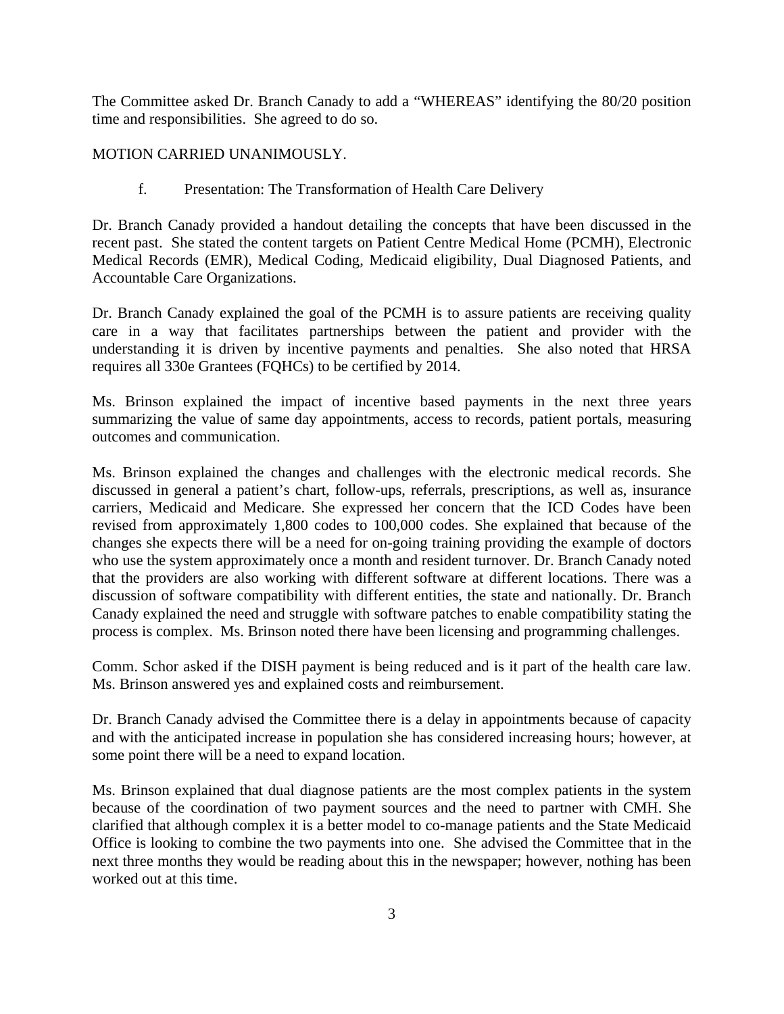The Committee asked Dr. Branch Canady to add a "WHEREAS" identifying the 80/20 position time and responsibilities. She agreed to do so.

#### MOTION CARRIED UNANIMOUSLY.

f. Presentation: The Transformation of Health Care Delivery

Dr. Branch Canady provided a handout detailing the concepts that have been discussed in the recent past. She stated the content targets on Patient Centre Medical Home (PCMH), Electronic Medical Records (EMR), Medical Coding, Medicaid eligibility, Dual Diagnosed Patients, and Accountable Care Organizations.

Dr. Branch Canady explained the goal of the PCMH is to assure patients are receiving quality care in a way that facilitates partnerships between the patient and provider with the understanding it is driven by incentive payments and penalties. She also noted that HRSA requires all 330e Grantees (FQHCs) to be certified by 2014.

Ms. Brinson explained the impact of incentive based payments in the next three years summarizing the value of same day appointments, access to records, patient portals, measuring outcomes and communication.

Ms. Brinson explained the changes and challenges with the electronic medical records. She discussed in general a patient's chart, follow-ups, referrals, prescriptions, as well as, insurance carriers, Medicaid and Medicare. She expressed her concern that the ICD Codes have been revised from approximately 1,800 codes to 100,000 codes. She explained that because of the changes she expects there will be a need for on-going training providing the example of doctors who use the system approximately once a month and resident turnover. Dr. Branch Canady noted that the providers are also working with different software at different locations. There was a discussion of software compatibility with different entities, the state and nationally. Dr. Branch Canady explained the need and struggle with software patches to enable compatibility stating the process is complex. Ms. Brinson noted there have been licensing and programming challenges.

Comm. Schor asked if the DISH payment is being reduced and is it part of the health care law. Ms. Brinson answered yes and explained costs and reimbursement.

Dr. Branch Canady advised the Committee there is a delay in appointments because of capacity and with the anticipated increase in population she has considered increasing hours; however, at some point there will be a need to expand location.

Ms. Brinson explained that dual diagnose patients are the most complex patients in the system because of the coordination of two payment sources and the need to partner with CMH. She clarified that although complex it is a better model to co-manage patients and the State Medicaid Office is looking to combine the two payments into one. She advised the Committee that in the next three months they would be reading about this in the newspaper; however, nothing has been worked out at this time.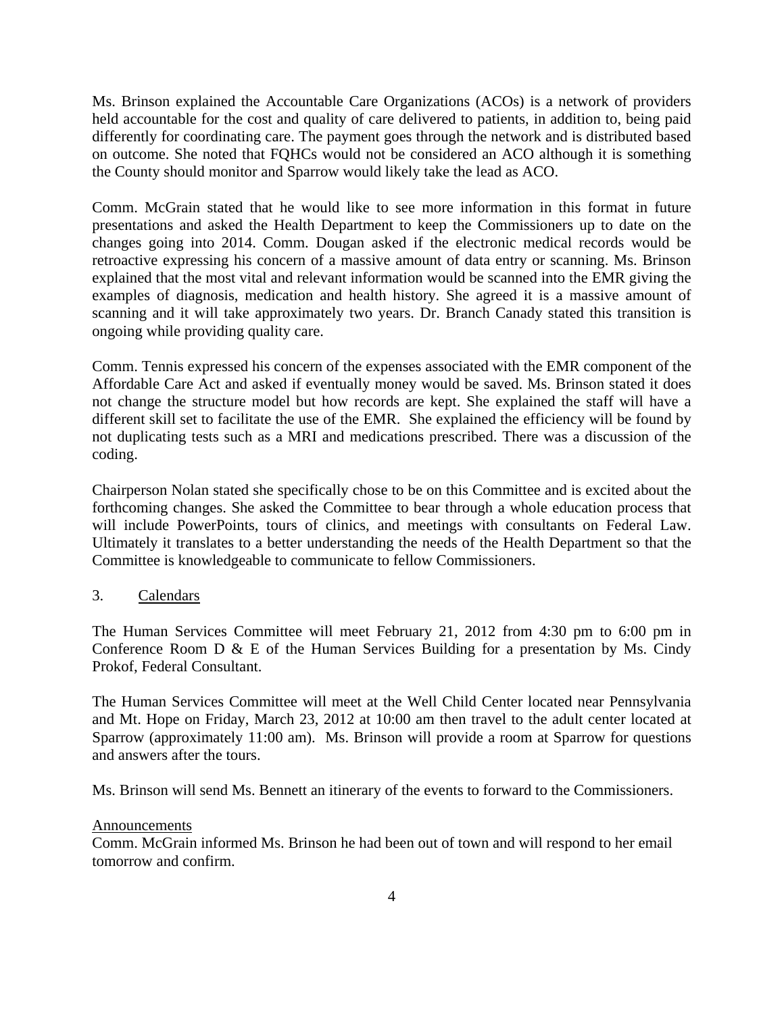Ms. Brinson explained the Accountable Care Organizations (ACOs) is a network of providers held accountable for the cost and quality of care delivered to patients, in addition to, being paid differently for coordinating care. The payment goes through the network and is distributed based on outcome. She noted that FQHCs would not be considered an ACO although it is something the County should monitor and Sparrow would likely take the lead as ACO.

Comm. McGrain stated that he would like to see more information in this format in future presentations and asked the Health Department to keep the Commissioners up to date on the changes going into 2014. Comm. Dougan asked if the electronic medical records would be retroactive expressing his concern of a massive amount of data entry or scanning. Ms. Brinson explained that the most vital and relevant information would be scanned into the EMR giving the examples of diagnosis, medication and health history. She agreed it is a massive amount of scanning and it will take approximately two years. Dr. Branch Canady stated this transition is ongoing while providing quality care.

Comm. Tennis expressed his concern of the expenses associated with the EMR component of the Affordable Care Act and asked if eventually money would be saved. Ms. Brinson stated it does not change the structure model but how records are kept. She explained the staff will have a different skill set to facilitate the use of the EMR. She explained the efficiency will be found by not duplicating tests such as a MRI and medications prescribed. There was a discussion of the coding.

Chairperson Nolan stated she specifically chose to be on this Committee and is excited about the forthcoming changes. She asked the Committee to bear through a whole education process that will include PowerPoints, tours of clinics, and meetings with consultants on Federal Law. Ultimately it translates to a better understanding the needs of the Health Department so that the Committee is knowledgeable to communicate to fellow Commissioners.

#### 3. Calendars

The Human Services Committee will meet February 21, 2012 from 4:30 pm to 6:00 pm in Conference Room D & E of the Human Services Building for a presentation by Ms. Cindy Prokof, Federal Consultant.

The Human Services Committee will meet at the Well Child Center located near Pennsylvania and Mt. Hope on Friday, March 23, 2012 at 10:00 am then travel to the adult center located at Sparrow (approximately 11:00 am). Ms. Brinson will provide a room at Sparrow for questions and answers after the tours.

Ms. Brinson will send Ms. Bennett an itinerary of the events to forward to the Commissioners.

#### Announcements

Comm. McGrain informed Ms. Brinson he had been out of town and will respond to her email tomorrow and confirm.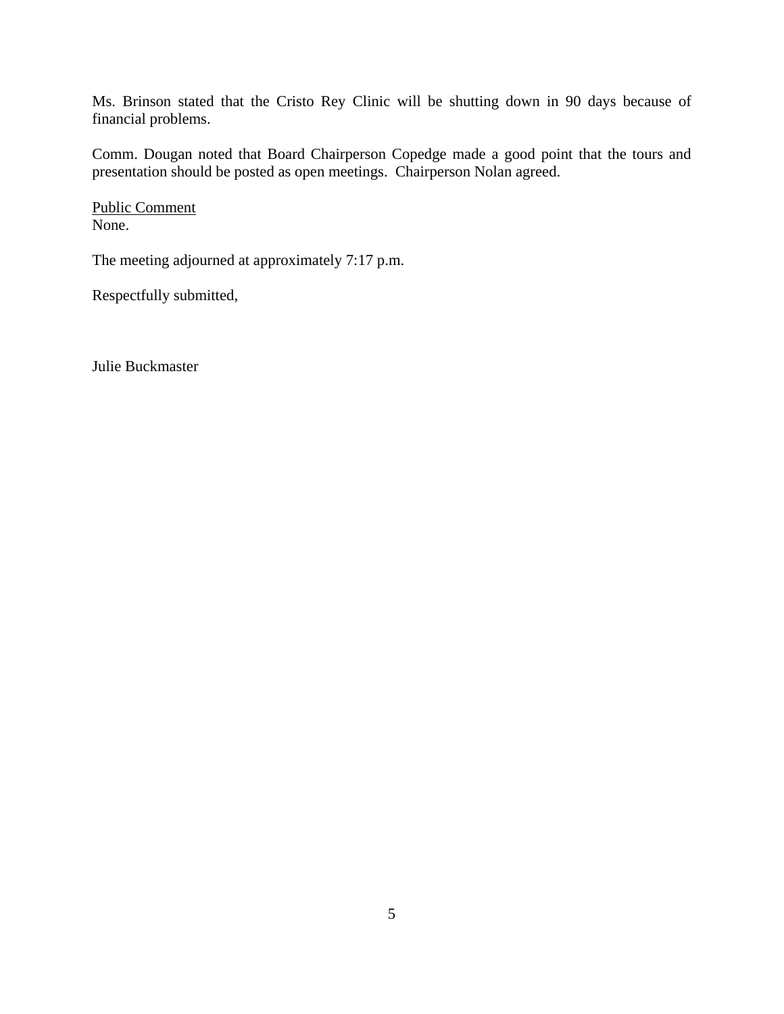Ms. Brinson stated that the Cristo Rey Clinic will be shutting down in 90 days because of financial problems.

Comm. Dougan noted that Board Chairperson Copedge made a good point that the tours and presentation should be posted as open meetings. Chairperson Nolan agreed.

Public Comment None.

The meeting adjourned at approximately 7:17 p.m.

Respectfully submitted,

Julie Buckmaster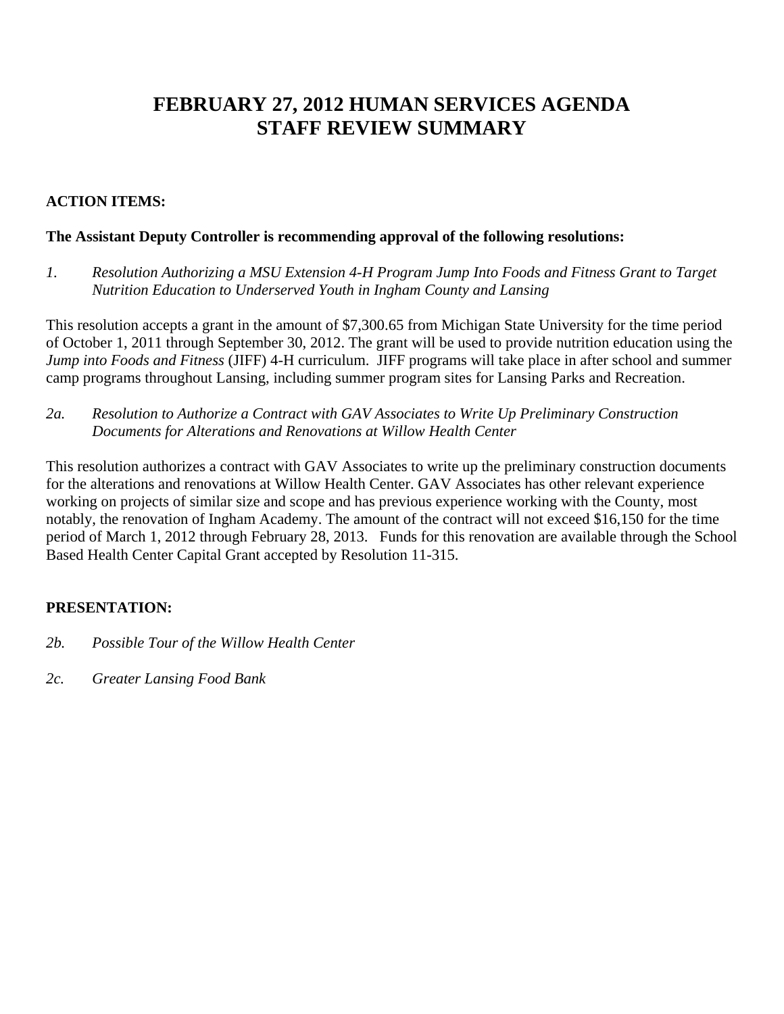# **FEBRUARY 27, 2012 HUMAN SERVICES AGENDA STAFF REVIEW SUMMARY**

# **ACTION ITEMS:**

# **The Assistant Deputy Controller is recommending approval of the following resolutions:**

*1. Resolution Authorizing a MSU Extension 4-H Program Jump Into Foods and Fitness Grant to Target Nutrition Education to Underserved Youth in Ingham County and Lansing* 

This resolution accepts a grant in the amount of \$7,300.65 from Michigan State University for the time period of October 1, 2011 through September 30, 2012. The grant will be used to provide nutrition education using the *Jump into Foods and Fitness* (JIFF) 4-H curriculum. JIFF programs will take place in after school and summer camp programs throughout Lansing, including summer program sites for Lansing Parks and Recreation.

*2a. Resolution to Authorize a Contract with GAV Associates to Write Up Preliminary Construction Documents for Alterations and Renovations at Willow Health Center*

This resolution authorizes a contract with GAV Associates to write up the preliminary construction documents for the alterations and renovations at Willow Health Center. GAV Associates has other relevant experience working on projects of similar size and scope and has previous experience working with the County, most notably, the renovation of Ingham Academy. The amount of the contract will not exceed \$16,150 for the time period of March 1, 2012 through February 28, 2013. Funds for this renovation are available through the School Based Health Center Capital Grant accepted by Resolution 11-315.

# **PRESENTATION:**

- *2b. Possible Tour of the Willow Health Center*
- *2c. Greater Lansing Food Bank*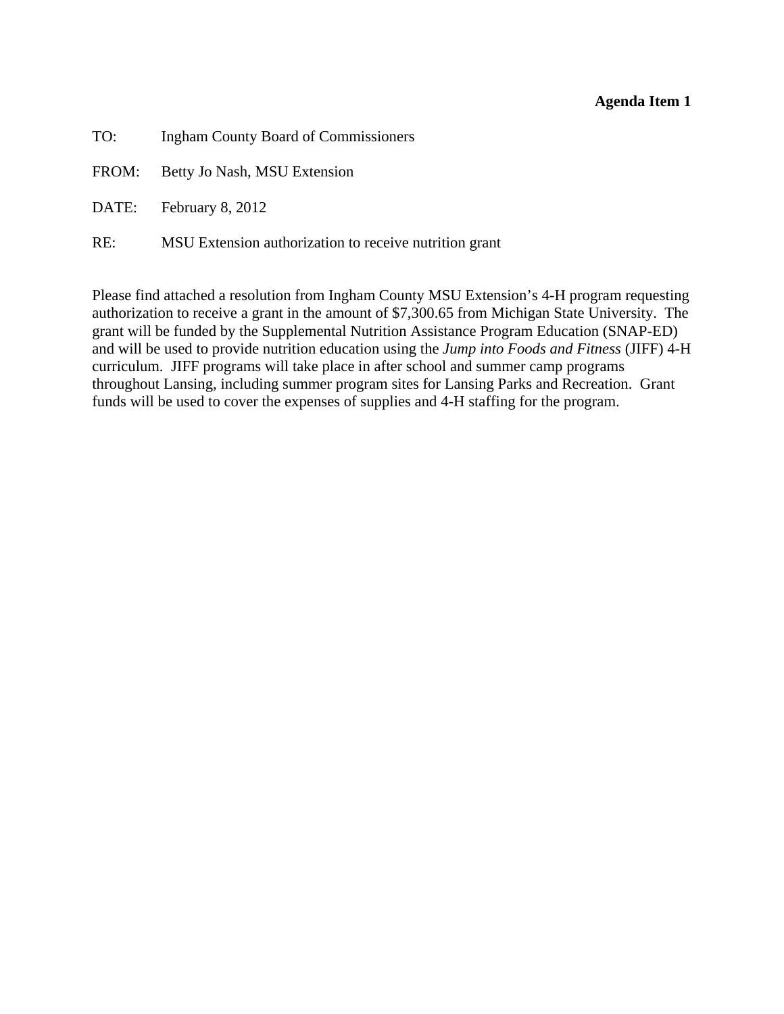#### **Agenda Item 1**

<span id="page-7-0"></span>

| TO: | <b>Ingham County Board of Commissioners</b>            |
|-----|--------------------------------------------------------|
|     | FROM: Betty Jo Nash, MSU Extension                     |
|     | DATE: February 8, 2012                                 |
| RE: | MSU Extension authorization to receive nutrition grant |

Please find attached a resolution from Ingham County MSU Extension's 4-H program requesting authorization to receive a grant in the amount of \$7,300.65 from Michigan State University. The grant will be funded by the Supplemental Nutrition Assistance Program Education (SNAP-ED) and will be used to provide nutrition education using the *Jump into Foods and Fitness* (JIFF) 4-H curriculum. JIFF programs will take place in after school and summer camp programs throughout Lansing, including summer program sites for Lansing Parks and Recreation. Grant funds will be used to cover the expenses of supplies and 4-H staffing for the program.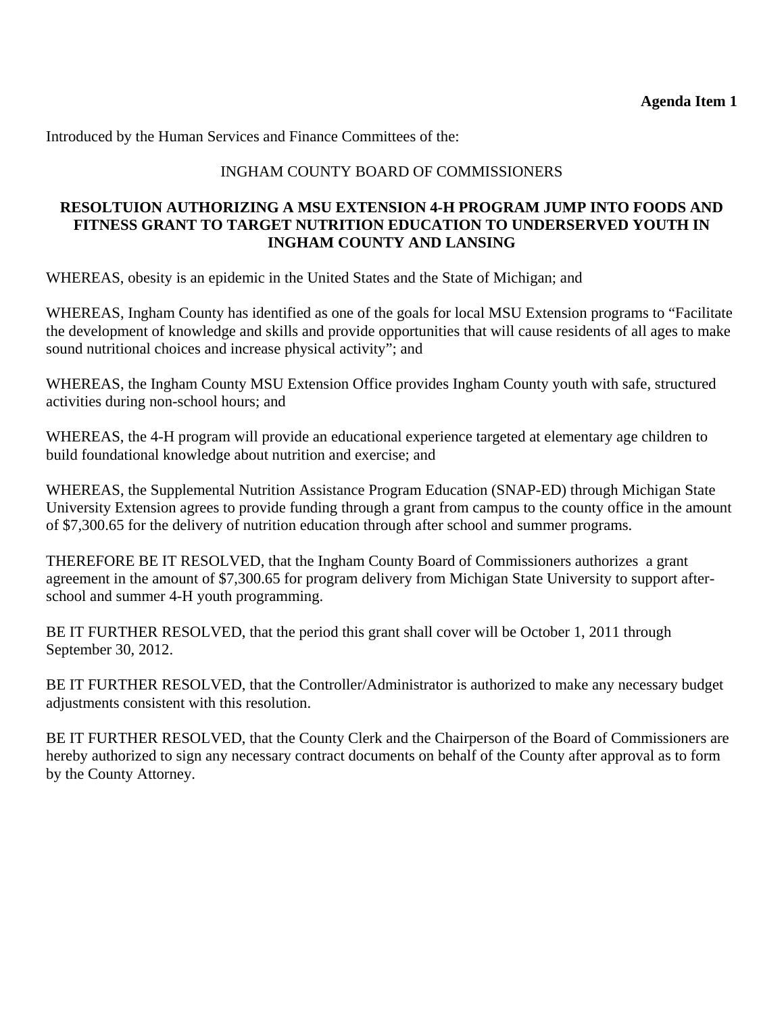Introduced by the Human Services and Finance Committees of the:

# INGHAM COUNTY BOARD OF COMMISSIONERS

# **RESOLTUION AUTHORIZING A MSU EXTENSION 4-H PROGRAM JUMP INTO FOODS AND FITNESS GRANT TO TARGET NUTRITION EDUCATION TO UNDERSERVED YOUTH IN INGHAM COUNTY AND LANSING**

WHEREAS, obesity is an epidemic in the United States and the State of Michigan; and

WHEREAS, Ingham County has identified as one of the goals for local MSU Extension programs to "Facilitate the development of knowledge and skills and provide opportunities that will cause residents of all ages to make sound nutritional choices and increase physical activity"; and

WHEREAS, the Ingham County MSU Extension Office provides Ingham County youth with safe, structured activities during non-school hours; and

WHEREAS, the 4-H program will provide an educational experience targeted at elementary age children to build foundational knowledge about nutrition and exercise; and

WHEREAS, the Supplemental Nutrition Assistance Program Education (SNAP-ED) through Michigan State University Extension agrees to provide funding through a grant from campus to the county office in the amount of \$7,300.65 for the delivery of nutrition education through after school and summer programs.

THEREFORE BE IT RESOLVED, that the Ingham County Board of Commissioners authorizes a grant agreement in the amount of \$7,300.65 for program delivery from Michigan State University to support afterschool and summer 4-H youth programming.

BE IT FURTHER RESOLVED, that the period this grant shall cover will be October 1, 2011 through September 30, 2012.

BE IT FURTHER RESOLVED, that the Controller/Administrator is authorized to make any necessary budget adjustments consistent with this resolution.

BE IT FURTHER RESOLVED, that the County Clerk and the Chairperson of the Board of Commissioners are hereby authorized to sign any necessary contract documents on behalf of the County after approval as to form by the County Attorney.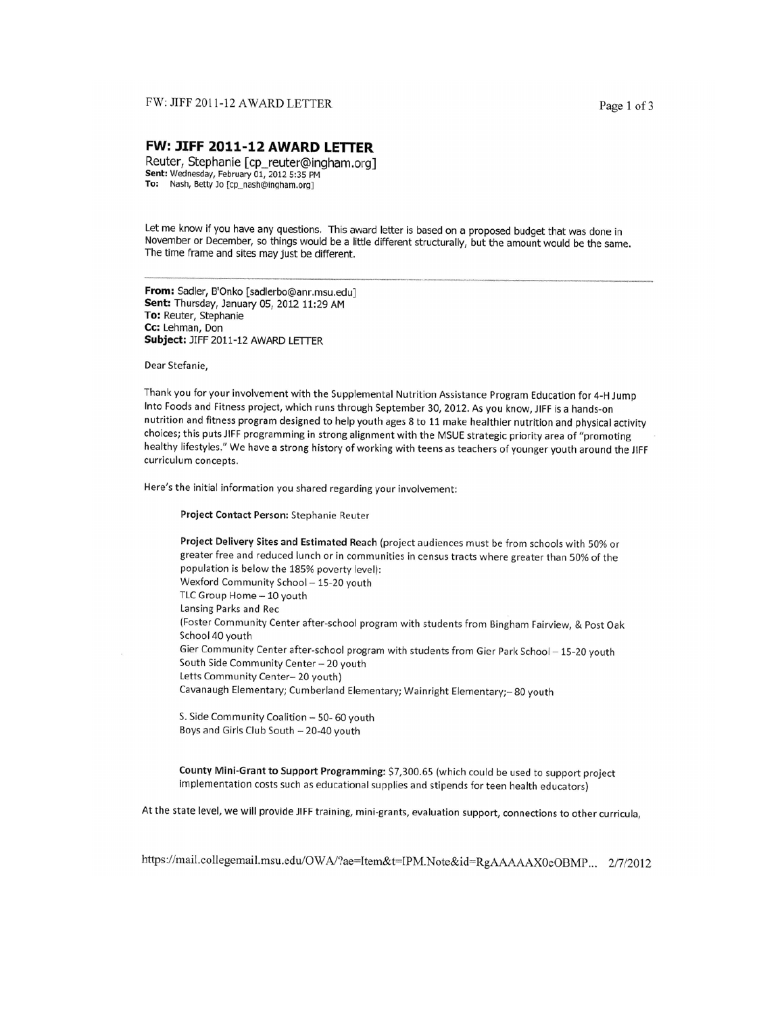#### FW: JIFF 2011-12 AWARD LETTER

#### FW: JIFF 2011-12 AWARD LETTER

Reuter, Stephanie [cp\_reuter@ingham.org] Sent: Wednesday, February 01, 2012 5:35 PM To: Nash, Betty Jo [cp\_nash@ingham.org]

Let me know if you have any questions. This award letter is based on a proposed budget that was done in November or December, so things would be a little different structurally, but the amount would be the same. The time frame and sites may just be different.

From: Sadler, B'Onko [sadlerbo@anr.msu.edu] Sent: Thursday, January 05, 2012 11:29 AM To: Reuter, Stephanie Cc: Lehman, Don Subject: JIFF 2011-12 AWARD LETTER

Dear Stefanie,

Thank you for your involvement with the Supplemental Nutrition Assistance Program Education for 4-H Jump Into Foods and Fitness project, which runs through September 30, 2012. As you know, JIFF is a hands-on nutrition and fitness program designed to help youth ages 8 to 11 make healthier nutrition and physical activity choices; this puts JIFF programming in strong alignment with the MSUE strategic priority area of "promoting healthy lifestyles." We have a strong history of working with teens as teachers of younger youth around the JIFF curriculum concepts.

Here's the initial information you shared regarding your involvement:

Project Contact Person: Stephanie Reuter

Project Delivery Sites and Estimated Reach (project audiences must be from schools with 50% or greater free and reduced lunch or in communities in census tracts where greater than 50% of the population is below the 185% poverty level): Wexford Community School - 15-20 youth TLC Group Home - 10 youth Lansing Parks and Rec (Foster Community Center after-school program with students from Bingham Fairview, & Post Oak School 40 youth Gier Community Center after-school program with students from Gier Park School - 15-20 youth South Side Community Center - 20 youth Letts Community Center-20 youth) Cavanaugh Elementary; Cumberland Elementary; Wainright Elementary;-80 youth

S. Side Community Coalition - 50- 60 youth Boys and Girls Club South - 20-40 youth

County Mini-Grant to Support Programming: \$7,300.65 (which could be used to support project implementation costs such as educational supplies and stipends for teen health educators)

At the state level, we will provide JIFF training, mini-grants, evaluation support, connections to other curricula,

https://mail.collegemail.msu.edu/OWA/?ae=Item&t=IPM.Note&id=RgAAAAAX0eOBMP... 2/7/2012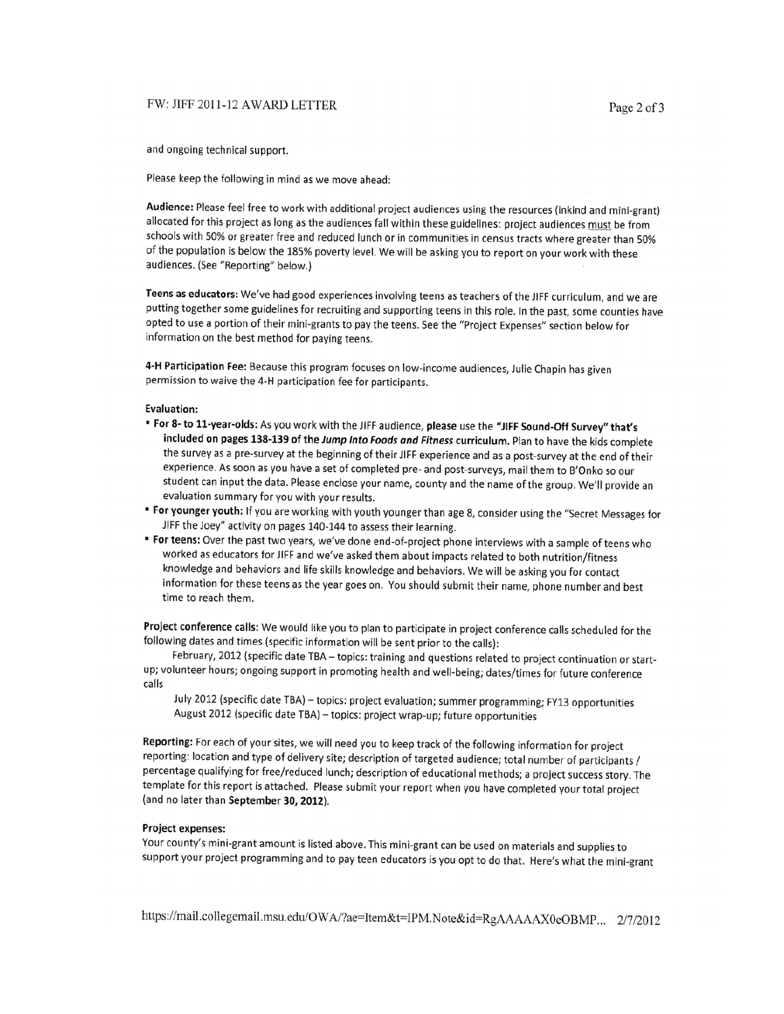#### FW: JIFF 2011-12 AWARD LETTER

and ongoing technical support.

Please keep the following in mind as we move ahead:

Audience: Please feel free to work with additional project audiences using the resources (inkind and mini-grant) allocated for this project as long as the audiences fall within these guidelines: project audiences must be from schools with 50% or greater free and reduced lunch or in communities in census tracts where greater than 50% of the population is below the 185% poverty level. We will be asking you to report on your work with these audiences. (See "Reporting" below.)

Teens as educators: We've had good experiences involving teens as teachers of the JIFF curriculum, and we are putting together some guidelines for recruiting and supporting teens in this role. In the past, some counties have opted to use a portion of their mini-grants to pay the teens. See the "Project Expenses" section below for information on the best method for paying teens.

4-H Participation Fee: Because this program focuses on low-income audiences, Julie Chapin has given permission to waive the 4-H participation fee for participants.

#### **Evaluation:**

- " For 8- to 11-year-olds: As you work with the JIFF audience, please use the "JIFF Sound-Off Survey" that's included on pages 138-139 of the Jump Into Foods and Fitness curriculum. Plan to have the kids complete the survey as a pre-survey at the beginning of their JIFF experience and as a post-survey at the end of their experience. As soon as you have a set of completed pre- and post-surveys, mail them to B'Onko so our student can input the data. Please enclose your name, county and the name of the group. We'll provide an evaluation summary for you with your results.
- " For younger youth: If you are working with youth younger than age 8, consider using the "Secret Messages for JIFF the Joey" activity on pages 140-144 to assess their learning.
- " For teens: Over the past two years, we've done end-of-project phone interviews with a sample of teens who worked as educators for JIFF and we've asked them about impacts related to both nutrition/fitness knowledge and behaviors and life skills knowledge and behaviors. We will be asking you for contact information for these teens as the year goes on. You should submit their name, phone number and best time to reach them.

Project conference calls: We would like you to plan to participate in project conference calls scheduled for the following dates and times (specific information will be sent prior to the calls):

February, 2012 (specific date TBA - topics: training and questions related to project continuation or startup; volunteer hours; ongoing support in promoting health and well-being; dates/times for future conference calls

July 2012 (specific date TBA) - topics: project evaluation; summer programming; FY13 opportunities August 2012 (specific date TBA) - topics: project wrap-up; future opportunities

Reporting: For each of your sites, we will need you to keep track of the following information for project reporting: location and type of delivery site; description of targeted audience; total number of participants / percentage qualifying for free/reduced lunch; description of educational methods; a project success story. The template for this report is attached. Please submit your report when you have completed your total project (and no later than September 30, 2012).

#### **Project expenses:**

Your county's mini-grant amount is listed above. This mini-grant can be used on materials and supplies to support your project programming and to pay teen educators is you opt to do that. Here's what the mini-grant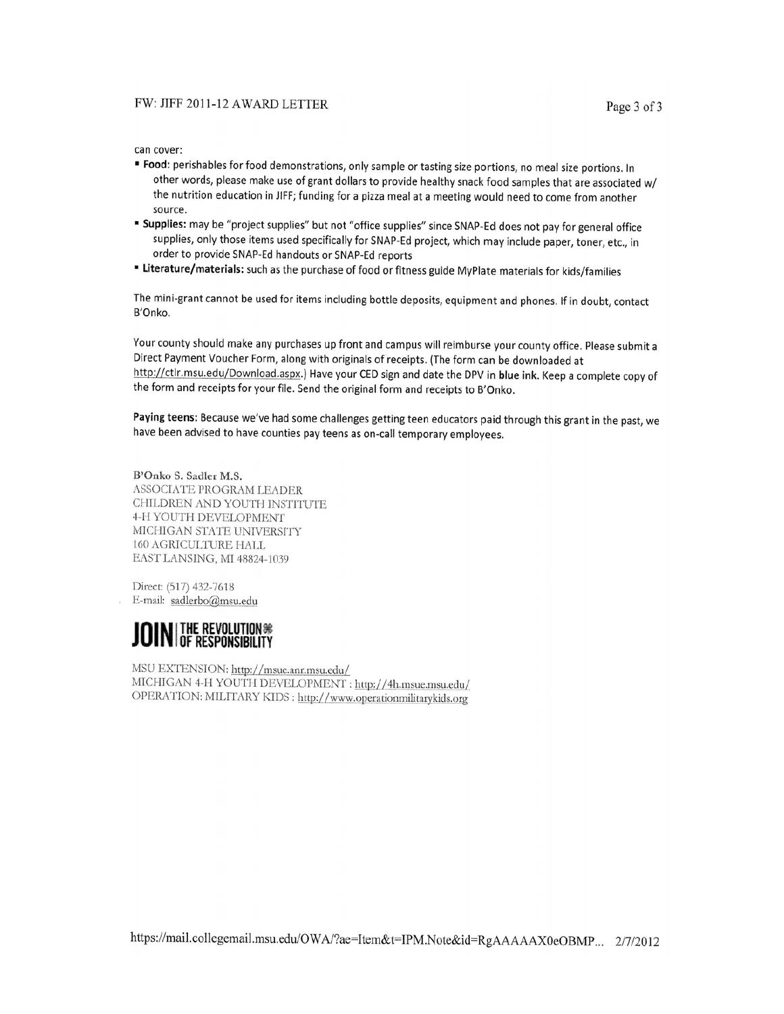can cover:

- " Food: perishables for food demonstrations, only sample or tasting size portions, no meal size portions. In other words, please make use of grant dollars to provide healthy snack food samples that are associated w/ the nutrition education in JIFF; funding for a pizza meal at a meeting would need to come from another source.
- " Supplies: may be "project supplies" but not "office supplies" since SNAP-Ed does not pay for general office supplies, only those items used specifically for SNAP-Ed project, which may include paper, toner, etc., in order to provide SNAP-Ed handouts or SNAP-Ed reports
- " Literature/materials: such as the purchase of food or fitness guide MyPlate materials for kids/families

The mini-grant cannot be used for items including bottle deposits, equipment and phones. If in doubt, contact B'Onko.

Your county should make any purchases up front and campus will reimburse your county office. Please submit a Direct Payment Voucher Form, along with originals of receipts. (The form can be downloaded at http://ctlr.msu.edu/Download.aspx.) Have your CED sign and date the DPV in blue ink. Keep a complete copy of the form and receipts for your file. Send the original form and receipts to B'Onko.

Paying teens: Because we've had some challenges getting teen educators paid through this grant in the past, we have been advised to have counties pay teens as on-call temporary employees.

B'Onko S. Sadler M.S. ASSOCIATE PROGRAM LEADER CHILDREN AND YOUTH INSTITUTE 4-H YOUTH DEVELOPMENT MICHIGAN STATE UNIVERSITY 160 AGRICULTURE HALL EAST LANSING, MI 48824-1039

Direct: (517) 432-7618 E-mail: sadlerbo@msu.edu



MSU EXTENSION: http://msue.anr.msu.edu/ MICHIGAN 4-H YOUTH DEVELOPMENT : http://4h.msue.msu.edu/ OPERATION: MILITARY KIDS : http://www.operationmilitarykids.org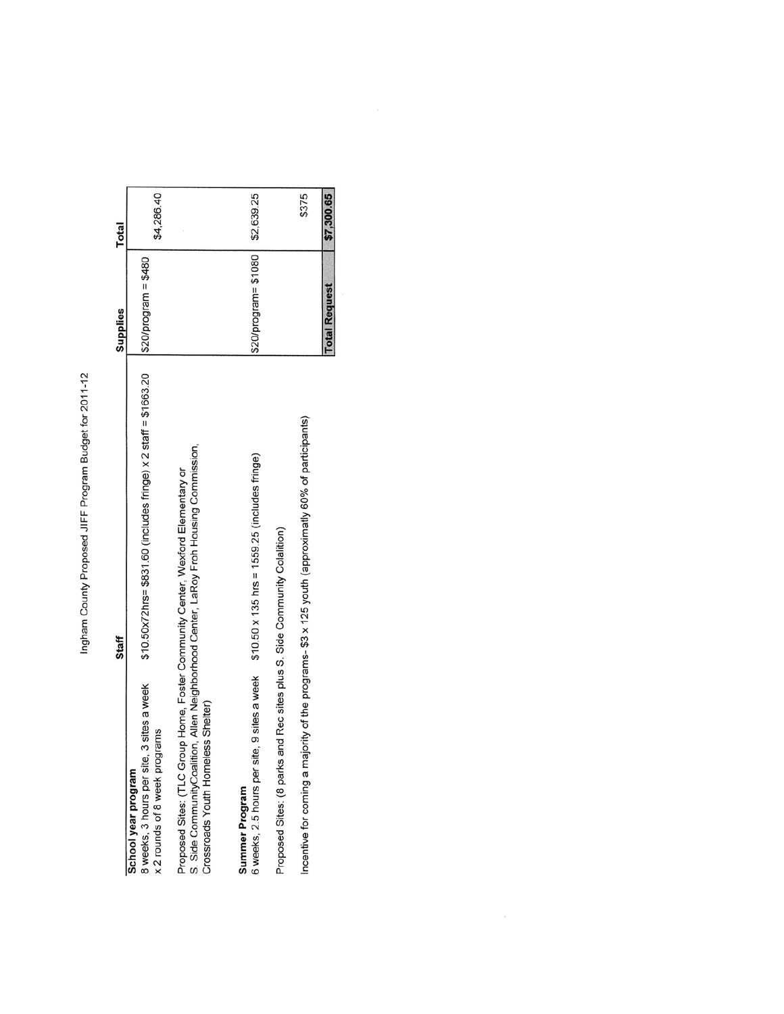Ingham County Proposed JIFF Program Budget for 2011-12

| Staff                                                                                                                                                                                                          | Supplies               | Total      |
|----------------------------------------------------------------------------------------------------------------------------------------------------------------------------------------------------------------|------------------------|------------|
| \$10.50x72hrs= \$831.60 (includes fringe) x 2 staff = \$1663.20<br>3 sites a week<br>rams<br>x 2 rounds of 8 week progr<br>8 weeks, 3 hours per site,<br>School year program                                   | $$20$ /program = \$480 | \$4,286.40 |
| S. Side CommunityCoalition, Allen Neighborhood Center, LaRoy Froh Housing Commission,<br>Proposed Sites: (TLC Group Home, Foster Community Center, Wexford Elementary or<br>Crossroads Youth Homeless Shelter) |                        |            |
| $$10.50 \times 135$ hrs = $1559.25$ (includes fringe)<br>6 weeks, 2.5 hours per site, 9 sites a week<br>Summer Program                                                                                         | \$20/program= \$1080   | \$2,639.25 |
| Proposed Sites: (8 parks and Rec sites plus S. Side Community Colalition)                                                                                                                                      |                        |            |
| Incentive for coming a majority of the programs- \$3 x 125 youth (approximatly 60% of participants)                                                                                                            |                        | \$375      |
|                                                                                                                                                                                                                | <b>Total Request</b>   | \$7,300.65 |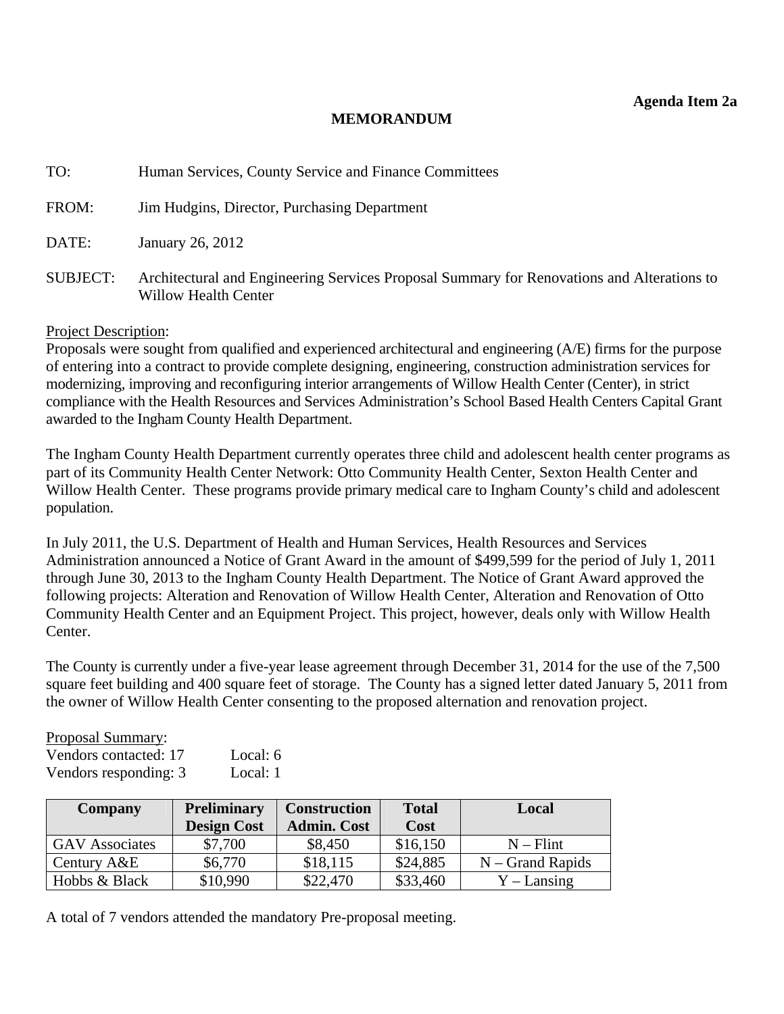#### **MEMORANDUM**

<span id="page-13-0"></span>

| TO:             | Human Services, County Service and Finance Committees                                                              |
|-----------------|--------------------------------------------------------------------------------------------------------------------|
| FROM:           | Jim Hudgins, Director, Purchasing Department                                                                       |
| DATE:           | January 26, 2012                                                                                                   |
| <b>SUBJECT:</b> | Architectural and Engineering Services Proposal Summary for Renovations and Alterations to<br>Willow Health Center |

#### Project Description:

Proposals were sought from qualified and experienced architectural and engineering (A/E) firms for the purpose of entering into a contract to provide complete designing, engineering, construction administration services for modernizing, improving and reconfiguring interior arrangements of Willow Health Center (Center), in strict compliance with the Health Resources and Services Administration's School Based Health Centers Capital Grant awarded to the Ingham County Health Department.

The Ingham County Health Department currently operates three child and adolescent health center programs as part of its Community Health Center Network: Otto Community Health Center, Sexton Health Center and Willow Health Center. These programs provide primary medical care to Ingham County's child and adolescent population.

In July 2011, the U.S. Department of Health and Human Services, Health Resources and Services Administration announced a Notice of Grant Award in the amount of \$499,599 for the period of July 1, 2011 through June 30, 2013 to the Ingham County Health Department. The Notice of Grant Award approved the following projects: Alteration and Renovation of Willow Health Center, Alteration and Renovation of Otto Community Health Center and an Equipment Project. This project, however, deals only with Willow Health Center.

The County is currently under a five-year lease agreement through December 31, 2014 for the use of the 7,500 square feet building and 400 square feet of storage. The County has a signed letter dated January 5, 2011 from the owner of Willow Health Center consenting to the proposed alternation and renovation project.

| <b>Proposal Summary:</b> |          |
|--------------------------|----------|
| Vendors contacted: 17    | Local: 6 |
| Vendors responding: 3    | Local: 1 |

| Company               | <b>Preliminary</b> | <b>Construction</b> | <b>Total</b> | Local              |
|-----------------------|--------------------|---------------------|--------------|--------------------|
|                       | <b>Design Cost</b> | <b>Admin. Cost</b>  | Cost         |                    |
| <b>GAV</b> Associates | \$7,700            | \$8,450             | \$16,150     | $N -$ Flint        |
| Century A&E           | \$6,770            | \$18,115            | \$24,885     | $N - Grand$ Rapids |
| Hobbs & Black         | \$10,990           | \$22,470            | \$33,460     | $Y$ – Lansing      |

A total of 7 vendors attended the mandatory Pre-proposal meeting.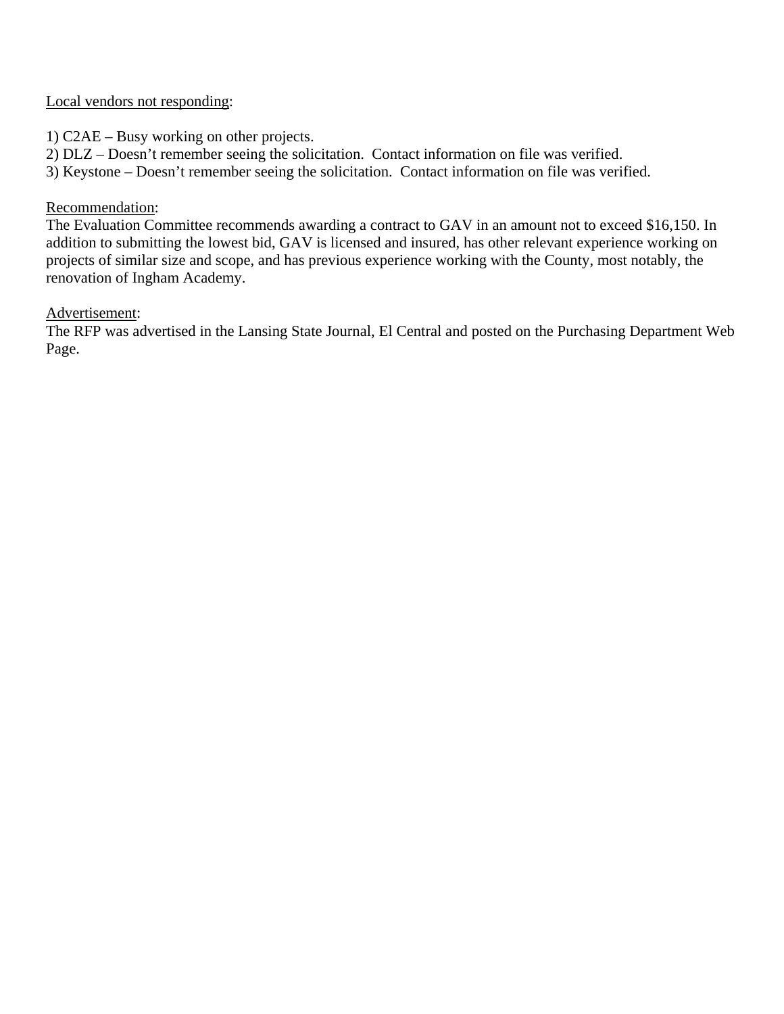# Local vendors not responding:

1) C2AE – Busy working on other projects.

2) DLZ – Doesn't remember seeing the solicitation. Contact information on file was verified.

3) Keystone – Doesn't remember seeing the solicitation. Contact information on file was verified.

#### Recommendation:

The Evaluation Committee recommends awarding a contract to GAV in an amount not to exceed \$16,150. In addition to submitting the lowest bid, GAV is licensed and insured, has other relevant experience working on projects of similar size and scope, and has previous experience working with the County, most notably, the renovation of Ingham Academy.

#### Advertisement:

The RFP was advertised in the Lansing State Journal, El Central and posted on the Purchasing Department Web Page.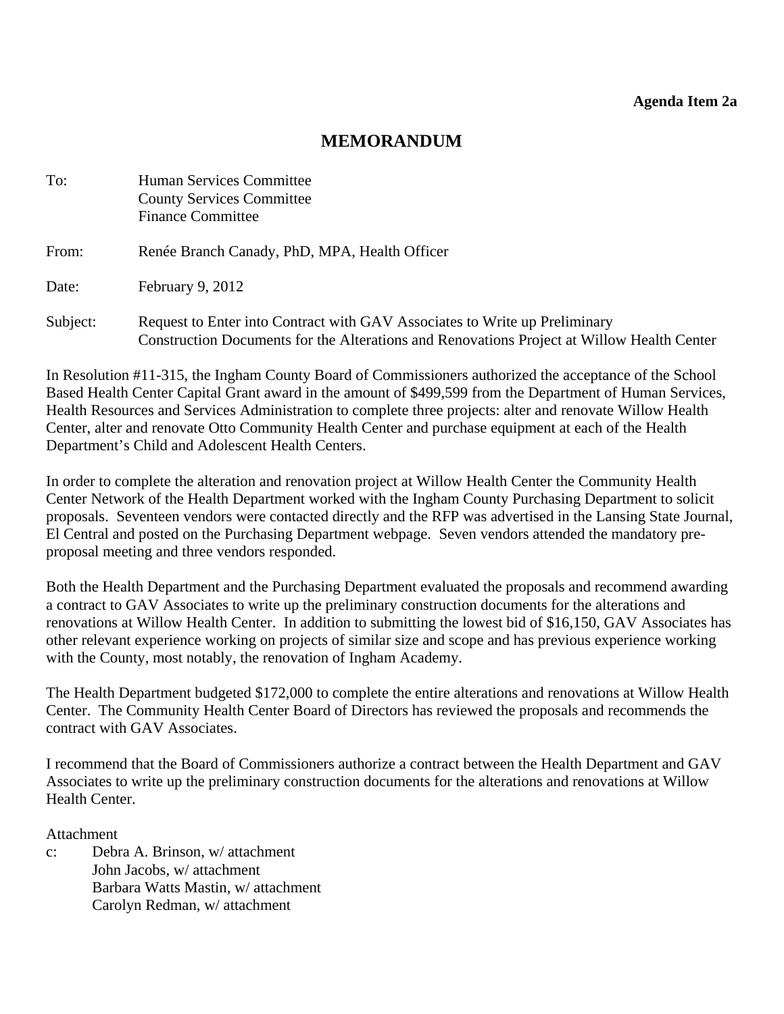# **MEMORANDUM**

| To:      | Human Services Committee<br><b>County Services Committee</b><br><b>Finance Committee</b>                                                                                 |
|----------|--------------------------------------------------------------------------------------------------------------------------------------------------------------------------|
| From:    | Renée Branch Canady, PhD, MPA, Health Officer                                                                                                                            |
| Date:    | February 9, 2012                                                                                                                                                         |
| Subject: | Request to Enter into Contract with GAV Associates to Write up Preliminary<br>Construction Documents for the Alterations and Renovations Project at Willow Health Center |

In Resolution #11-315, the Ingham County Board of Commissioners authorized the acceptance of the School Based Health Center Capital Grant award in the amount of \$499,599 from the Department of Human Services, Health Resources and Services Administration to complete three projects: alter and renovate Willow Health Center, alter and renovate Otto Community Health Center and purchase equipment at each of the Health Department's Child and Adolescent Health Centers.

In order to complete the alteration and renovation project at Willow Health Center the Community Health Center Network of the Health Department worked with the Ingham County Purchasing Department to solicit proposals. Seventeen vendors were contacted directly and the RFP was advertised in the Lansing State Journal, El Central and posted on the Purchasing Department webpage. Seven vendors attended the mandatory preproposal meeting and three vendors responded.

Both the Health Department and the Purchasing Department evaluated the proposals and recommend awarding a contract to GAV Associates to write up the preliminary construction documents for the alterations and renovations at Willow Health Center. In addition to submitting the lowest bid of \$16,150, GAV Associates has other relevant experience working on projects of similar size and scope and has previous experience working with the County, most notably, the renovation of Ingham Academy.

The Health Department budgeted \$172,000 to complete the entire alterations and renovations at Willow Health Center. The Community Health Center Board of Directors has reviewed the proposals and recommends the contract with GAV Associates.

I recommend that the Board of Commissioners authorize a contract between the Health Department and GAV Associates to write up the preliminary construction documents for the alterations and renovations at Willow Health Center.

Attachment

c: Debra A. Brinson, w/ attachment John Jacobs, w/ attachment Barbara Watts Mastin, w/ attachment Carolyn Redman, w/ attachment